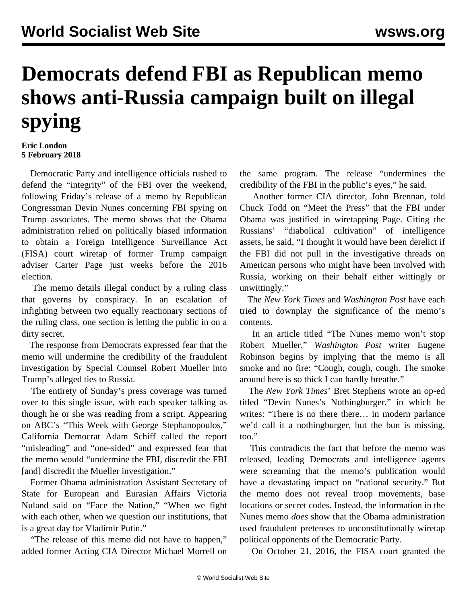## **Democrats defend FBI as Republican memo shows anti-Russia campaign built on illegal spying**

## **Eric London 5 February 2018**

 Democratic Party and intelligence officials rushed to defend the "integrity" of the FBI over the weekend, following Friday's release of a memo by Republican Congressman Devin Nunes concerning FBI spying on Trump associates. The memo shows that the Obama administration relied on politically biased information to obtain a Foreign Intelligence Surveillance Act (FISA) court wiretap of former Trump campaign adviser Carter Page just weeks before the 2016 election.

 The memo details illegal conduct by a ruling class that governs by conspiracy. In an escalation of infighting between two equally reactionary sections of the ruling class, one section is letting the public in on a dirty secret.

 The response from Democrats expressed fear that the memo will undermine the credibility of the fraudulent investigation by Special Counsel Robert Mueller into Trump's alleged ties to Russia.

 The entirety of Sunday's press coverage was turned over to this single issue, with each speaker talking as though he or she was reading from a script. Appearing on ABC's "This Week with George Stephanopoulos," California Democrat Adam Schiff called the report "misleading" and "one-sided" and expressed fear that the memo would "undermine the FBI, discredit the FBI [and] discredit the Mueller investigation."

 Former Obama administration Assistant Secretary of State for European and Eurasian Affairs Victoria Nuland said on "Face the Nation," "When we fight with each other, when we question our institutions, that is a great day for Vladimir Putin."

 "The release of this memo did not have to happen," added former Acting CIA Director Michael Morrell on the same program. The release "undermines the credibility of the FBI in the public's eyes," he said.

 Another former CIA director, John Brennan, told Chuck Todd on "Meet the Press" that the FBI under Obama was justified in wiretapping Page. Citing the Russians' "diabolical cultivation" of intelligence assets, he said, "I thought it would have been derelict if the FBI did not pull in the investigative threads on American persons who might have been involved with Russia, working on their behalf either wittingly or unwittingly."

 The *New York Times* and *Washington Post* have each tried to downplay the significance of the memo's contents.

 In an article titled "The Nunes memo won't stop Robert Mueller," *Washington Post* writer Eugene Robinson begins by implying that the memo is all smoke and no fire: "Cough, cough, cough. The smoke around here is so thick I can hardly breathe."

 The *New York Times*' Bret Stephens wrote an op-ed titled "Devin Nunes's Nothingburger," in which he writes: "There is no there there... in modern parlance we'd call it a nothingburger, but the bun is missing, too."

 This contradicts the fact that before the memo was released, leading Democrats and intelligence agents were screaming that the memo's publication would have a devastating impact on "national security." But the memo does not reveal troop movements, base locations or secret codes. Instead, the information in the Nunes memo *does* show that the Obama administration used fraudulent pretenses to unconstitutionally wiretap political opponents of the Democratic Party.

On October 21, 2016, the FISA court granted the